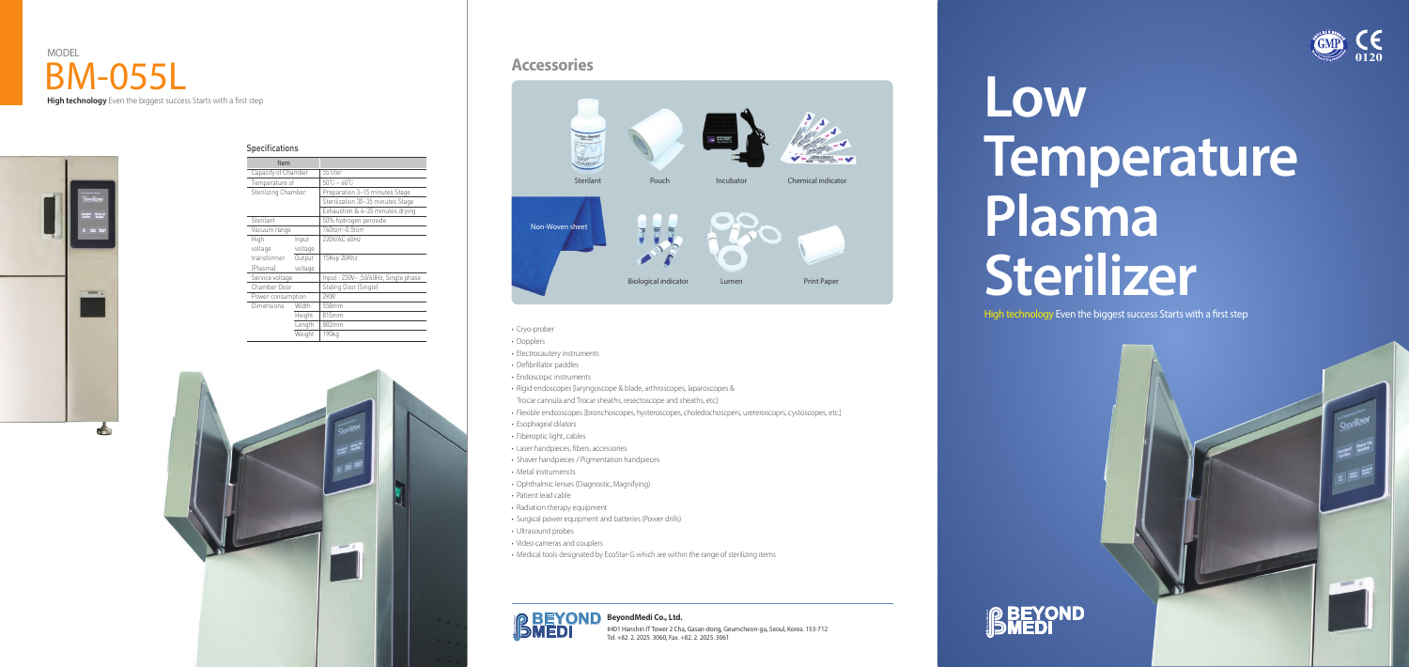# **Low Temperature Plasma Sterilizer**

High technology Even the biggest success Starts with a first step



- Cryo-prober
- Dopplers
- Electrocautery instruments
- Defibrillator paddles
- Endoscopic instruments
- Rigid endoscopes [laryngoscope & blade, arthroscopes, laparoscopes & Trocar cannula and Trocar sheaths, resectoscope and sheaths, etc]
- Flexible endcoscopes [bronchoscopes, hysteroscopes, choledochoscpers, ureteroscoprs, cystoscopes, etc.]
- Esophageal dilators
- Fiberoptic light, cables
- Laser handpieces, fibers, accessories
- Shaver handpieces / Pigmentation handpieces
- Metal instrumensts.
- Ophthalmic lenses (Diagnostic, Magnifying)
- Patient lead cable
- Radiation therapy equipment
- Surgical power equipment and batteries (Power drills)
- Ultrasound probes

### BM-055L MODEL **High technology** Even the biggest success Starts with a first step



 Item Capacity of Chamber

**Specifications** 

- Video cameras and couplers
- Medical tools designated by EcoStar-G which are within the range of sterilizing items



### **Accessories**

**Beyond Medical**



### **BeyondMedi Co., Ltd.**

#401 Hanshin IT Tower 2 Cha, Gasan-dong, Geumcheon-gu, Seoul, Korea. 153-712 Tel. +82. 2. 2025. 3060, Fax. +82. 2. 2025. 3061



 Sterilization 30~35 minutes Stage Exhaustion & 4~25 minutes drying

voltage voltage

Temperature of 50℃ ~ 60℃

transformer Output 15Kvp 20Khz

Sterilizing Chamber | Preparation 3~15 minutes Stage

Sterilant 50% hydrogen peroxide Vacuum range 760torr~0.5torr High Input 220V/AC 60Hz